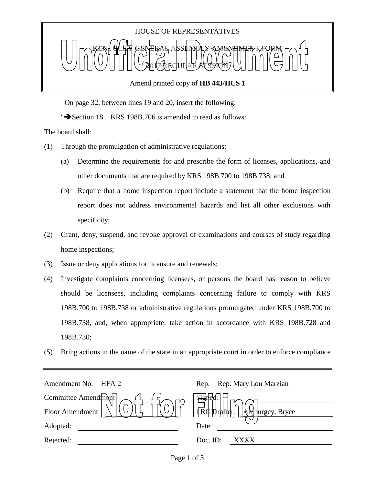

## Amend printed copy of **HB 443/HCS 1**

On page 32, between lines 19 and 20, insert the following:

" $\blacktriangleright$  Section 18. KRS 198B.706 is amended to read as follows:

The board shall:

- (1) Through the promulgation of administrative regulations:
	- (a) Determine the requirements for and prescribe the form of licenses, applications, and other documents that are required by KRS 198B.700 to 198B.738; and
	- (b) Require that a home inspection report include a statement that the home inspection report does not address environmental hazards and list all other exclusions with specificity;
- (2) Grant, deny, suspend, and revoke approval of examinations and courses of study regarding home inspections;
- (3) Issue or deny applications for licensure and renewals;
- (4) Investigate complaints concerning licensees, or persons the board has reason to believe should be licensees, including complaints concerning failure to comply with KRS 198B.700 to 198B.738 or administrative regulations promulgated under KRS 198B.700 to 198B.738, and, when appropriate, take action in accordance with KRS 198B.728 and 198B.730;
- (5) Bring actions in the name of the state in an appropriate court in order to enforce compliance

| Rep. Rep. Mary Lou Marzian          |
|-------------------------------------|
| <b>Signer</b>                       |
| IRC Drafter: <br>A<br>burgey, Bryce |
| Date:                               |
| Doc. ID:<br>XXXX                    |
|                                     |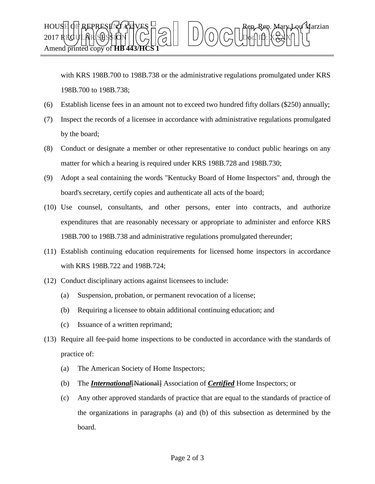

with KRS 198B.700 to 198B.738 or the administrative regulations promulgated under KRS 198B.700 to 198B.738;

- (6) Establish license fees in an amount not to exceed two hundred fifty dollars (\$250) annually;
- (7) Inspect the records of a licensee in accordance with administrative regulations promulgated by the board;
- (8) Conduct or designate a member or other representative to conduct public hearings on any matter for which a hearing is required under KRS 198B.728 and 198B.730;
- (9) Adopt a seal containing the words "Kentucky Board of Home Inspectors" and, through the board's secretary, certify copies and authenticate all acts of the board;
- (10) Use counsel, consultants, and other persons, enter into contracts, and authorize expenditures that are reasonably necessary or appropriate to administer and enforce KRS 198B.700 to 198B.738 and administrative regulations promulgated thereunder;
- (11) Establish continuing education requirements for licensed home inspectors in accordance with KRS 198B.722 and 198B.724;
- (12) Conduct disciplinary actions against licensees to include:
	- (a) Suspension, probation, or permanent revocation of a license;
	- (b) Requiring a licensee to obtain additional continuing education; and
	- (c) Issuance of a written reprimand;
- (13) Require all fee-paid home inspections to be conducted in accordance with the standards of practice of:
	- (a) The American Society of Home Inspectors;
	- (b) The *International*[National] Association of *Certified* Home Inspectors; or
	- (c) Any other approved standards of practice that are equal to the standards of practice of the organizations in paragraphs (a) and (b) of this subsection as determined by the board.